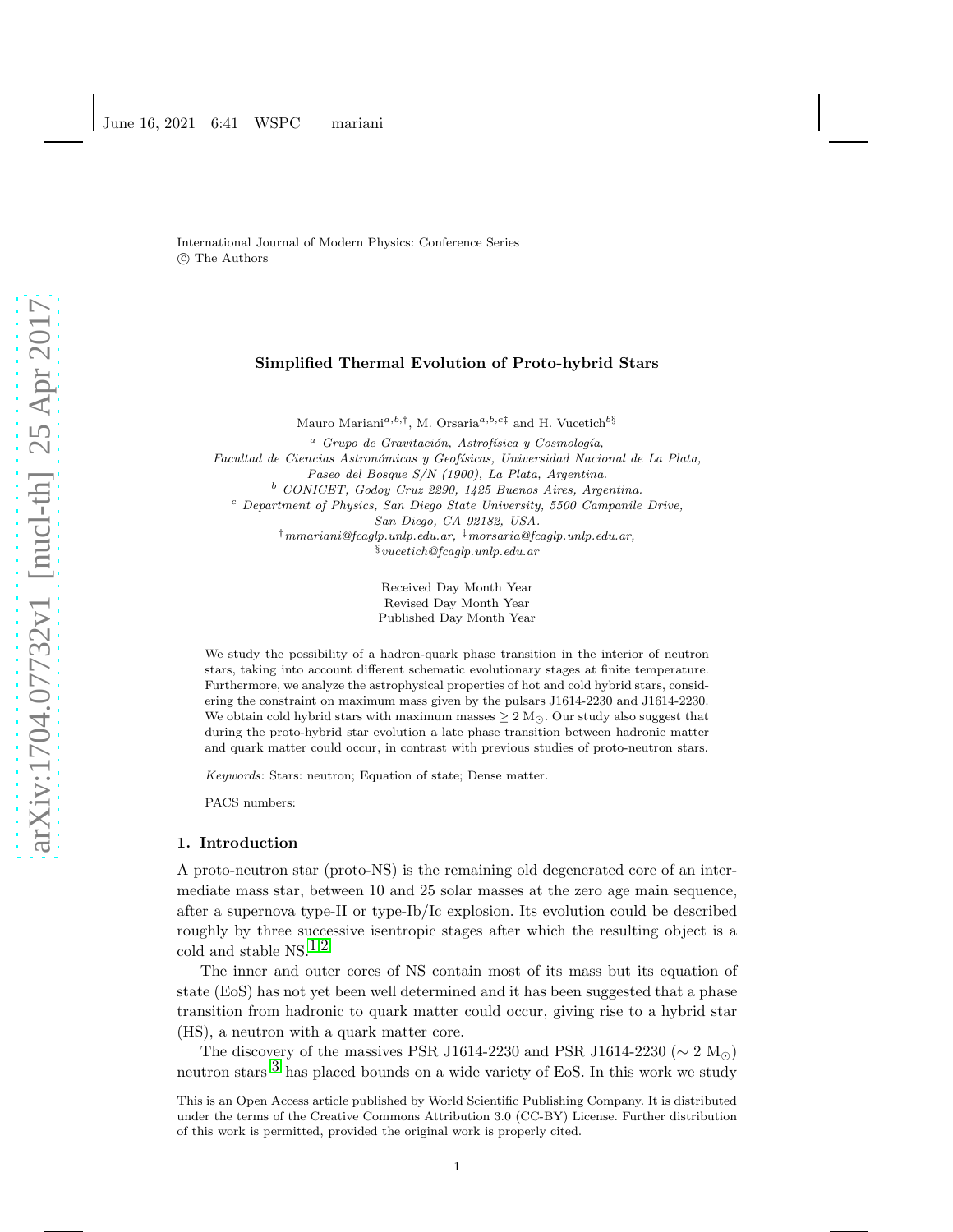International Journal of Modern Physics: Conference Series c The Authors

### Simplified Thermal Evolution of Proto-hybrid Stars

Mauro Mariani<sup>a,b,†</sup>, M. Orsaria<sup>a,b,c‡</sup> and H. Vucetich<sup>b§</sup>

<sup>a</sup> Grupo de Gravitación, Astrofísica y Cosmología, Facultad de Ciencias Astronómicas y Geofísicas, Universidad Nacional de La Plata, Paseo del Bosque S/N (1900), La Plata, Argentina. <sup>b</sup> CONICET, Godoy Cruz 2290, 1425 Buenos Aires, Argentina. <sup>c</sup> Department of Physics, San Diego State University, 5500 Campanile Drive, San Diego, CA 92182, USA. †mmariani@fcaglp.unlp.edu.ar, ‡morsaria@fcaglp.unlp.edu.ar,  $§$ vucetich@fcaqlp.unlp.edu.ar

> Received Day Month Year Revised Day Month Year Published Day Month Year

We study the possibility of a hadron-quark phase transition in the interior of neutron stars, taking into account different schematic evolutionary stages at finite temperature. Furthermore, we analyze the astrophysical properties of hot and cold hybrid stars, considering the constraint on maximum mass given by the pulsars J1614-2230 and J1614-2230. We obtain cold hybrid stars with maximum masses  $\geq 2$  M<sub>☉</sub>. Our study also suggest that during the proto-hybrid star evolution a late phase transition between hadronic matter and quark matter could occur, in contrast with previous studies of proto-neutron stars.

Keywords: Stars: neutron; Equation of state; Dense matter.

PACS numbers:

#### 1. Introduction

A proto-neutron star (proto-NS) is the remaining old degenerated core of an intermediate mass star, between 10 and 25 solar masses at the zero age main sequence, after a supernova type-II or type-Ib/Ic explosion. Its evolution could be described roughly by three successive isentropic stages after which the resulting object is a cold and stable NS. $^{1,2}$  $^{1,2}$  $^{1,2}$  $^{1,2}$  $^{1,2}$ 

The inner and outer cores of NS contain most of its mass but its equation of state (EoS) has not yet been well determined and it has been suggested that a phase transition from hadronic to quark matter could occur, giving rise to a hybrid star (HS), a neutron with a quark matter core.

The discovery of the massives PSR J1614-2230 and PSR J1614-2230 ( $\sim 2 \text{ M}_{\odot}$ ) neutron stars  $3$  has placed bounds on a wide variety of EoS. In this work we study

This is an Open Access article published by World Scientific Publishing Company. It is distributed under the terms of the Creative Commons Attribution 3.0 (CC-BY) License. Further distribution of this work is permitted, provided the original work is properly cited.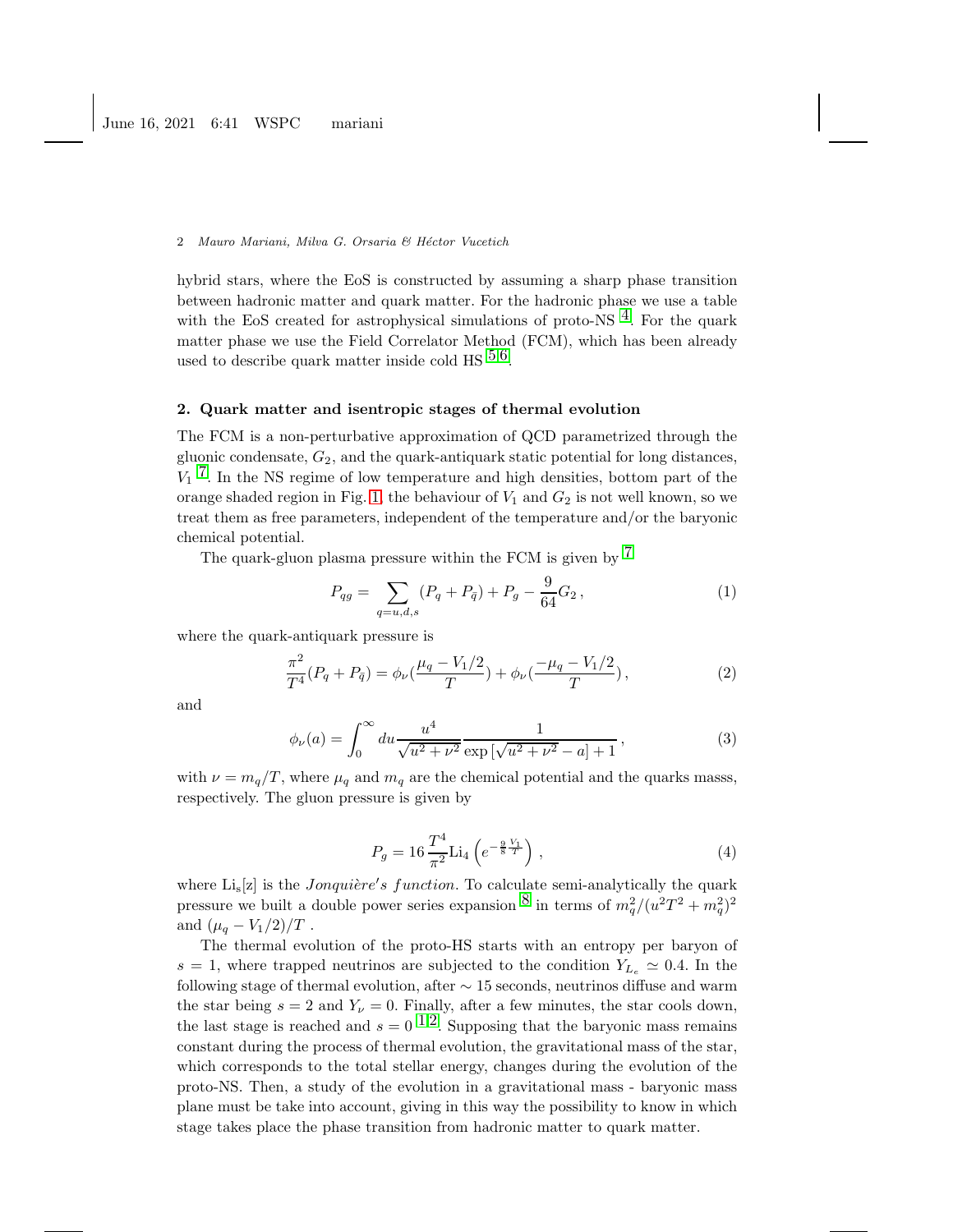### 2 Mauro Mariani, Milva G. Orsaria & Héctor Vucetich

hybrid stars, where the EoS is constructed by assuming a sharp phase transition between hadronic matter and quark matter. For the hadronic phase we use a table with the EoS created for astrophysical simulations of proto-NS  $<sup>4</sup>$ . For the quark</sup> matter phase we use the Field Correlator Method (FCM), which has been already used to describe quark matter inside cold HS  $^{5,6}$  $^{5,6}$  $^{5,6}$ .

# 2. Quark matter and isentropic stages of thermal evolution

The FCM is a non-perturbative approximation of QCD parametrized through the gluonic condensate,  $G_2$ , and the quark-antiquark static potential for long distances,  $V_1$ <sup>7</sup>. In the NS regime of low temperature and high densities, bottom part of the orange shaded region in Fig. [1,](#page-2-0) the behaviour of  $V_1$  and  $G_2$  is not well known, so we treat them as free parameters, independent of the temperature and/or the baryonic chemical potential.

The quark-gluon plasma pressure within the FCM is given by  $^7$  $^7$ 

$$
P_{qg} = \sum_{q=u,d,s} (P_q + P_{\bar{q}}) + P_g - \frac{9}{64} G_2 ,\qquad (1)
$$

where the quark-antiquark pressure is

$$
\frac{\pi^2}{T^4}(P_q + P_{\bar{q}}) = \phi_{\nu}(\frac{\mu_q - V_1/2}{T}) + \phi_{\nu}(\frac{-\mu_q - V_1/2}{T}),\tag{2}
$$

and

$$
\phi_{\nu}(a) = \int_0^\infty du \frac{u^4}{\sqrt{u^2 + \nu^2}} \frac{1}{\exp\left[\sqrt{u^2 + \nu^2} - a\right] + 1},\tag{3}
$$

with  $\nu = m_q/T$ , where  $\mu_q$  and  $m_q$  are the chemical potential and the quarks masss, respectively. The gluon pressure is given by

$$
P_g = 16 \frac{T^4}{\pi^2} \text{Li}_4\left(e^{-\frac{9}{8}\frac{V_1}{T}}\right) \,,\tag{4}
$$

where  $\text{Li}_s[z]$  is the *Jonquière's function*. To calculate semi-analytically the quark pressure we built a double power series expansion  $\delta$  in terms of  $m_q^2/(u^2T^2 + m_q^2)^2$ and  $(\mu_a - V_1/2)/T$ .

The thermal evolution of the proto-HS starts with an entropy per baryon of s = 1, where trapped neutrinos are subjected to the condition  $Y_{L_e} \simeq 0.4$ . In the following stage of thermal evolution, after  $\sim$  15 seconds, neutrinos diffuse and warm the star being  $s = 2$  and  $Y_{\nu} = 0$ . Finally, after a few minutes, the star cools down, the last stage is reached and  $s = 0^{-1.2}$  $s = 0^{-1.2}$  $s = 0^{-1.2}$ . Supposing that the baryonic mass remains constant during the process of thermal evolution, the gravitational mass of the star, which corresponds to the total stellar energy, changes during the evolution of the proto-NS. Then, a study of the evolution in a gravitational mass - baryonic mass plane must be take into account, giving in this way the possibility to know in which stage takes place the phase transition from hadronic matter to quark matter.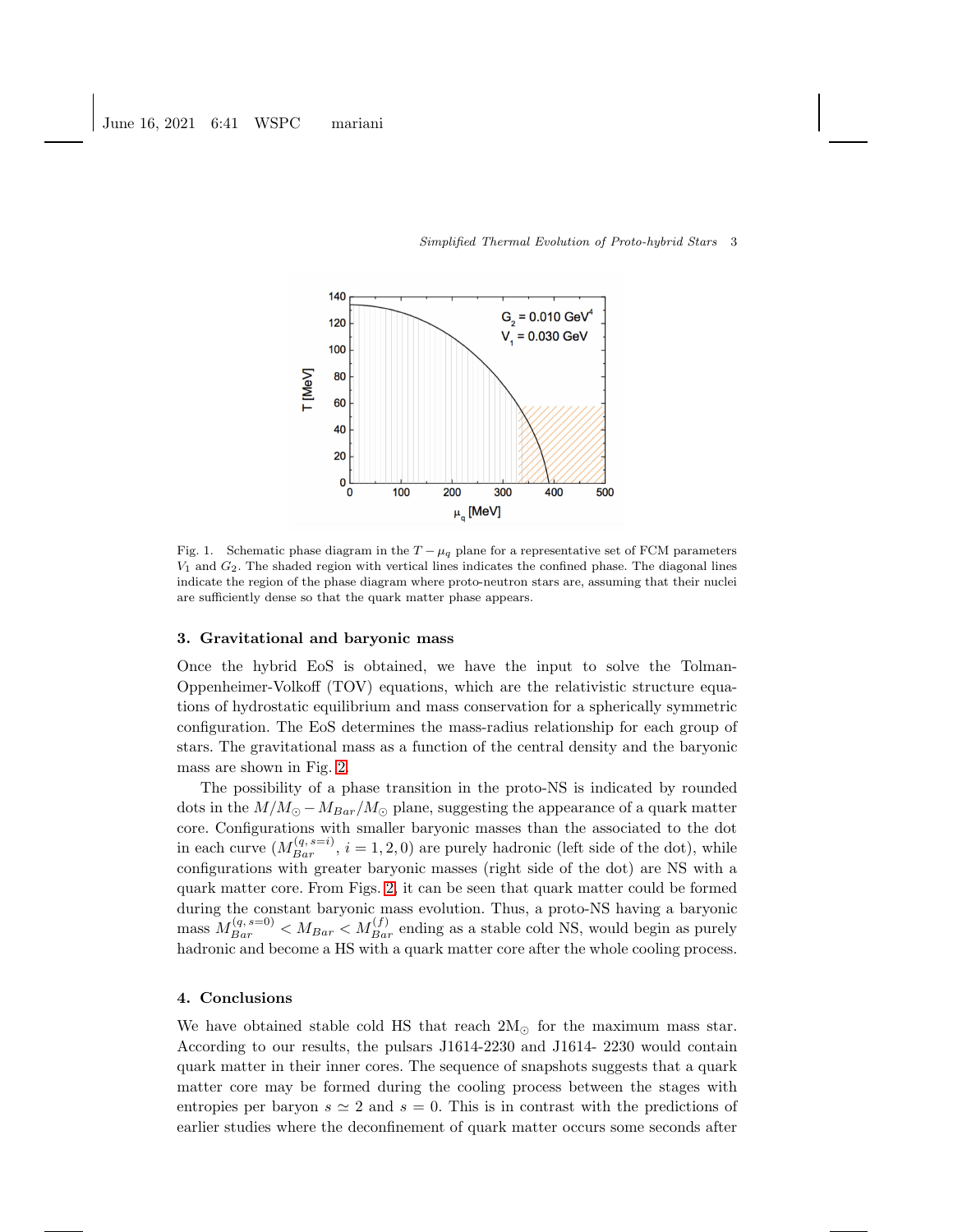

#### Simplified Thermal Evolution of Proto-hybrid Stars 3

<span id="page-2-0"></span>Fig. 1. Schematic phase diagram in the  $T - \mu_q$  plane for a representative set of FCM parameters  $V_1$  and  $G_2$ . The shaded region with vertical lines indicates the confined phase. The diagonal lines indicate the region of the phase diagram where proto-neutron stars are, assuming that their nuclei are sufficiently dense so that the quark matter phase appears.

## 3. Gravitational and baryonic mass

Once the hybrid EoS is obtained, we have the input to solve the Tolman-Oppenheimer-Volkoff (TOV) equations, which are the relativistic structure equations of hydrostatic equilibrium and mass conservation for a spherically symmetric configuration. The EoS determines the mass-radius relationship for each group of stars. The gravitational mass as a function of the central density and the baryonic mass are shown in Fig. [2.](#page-3-8)

The possibility of a phase transition in the proto-NS is indicated by rounded dots in the  $M/M_{\odot} - M_{Bar}/M_{\odot}$  plane, suggesting the appearance of a quark matter core. Configurations with smaller baryonic masses than the associated to the dot in each curve  $(M_{Bar}^{(q,s=i)}, i = 1, 2, 0)$  are purely hadronic (left side of the dot), while configurations with greater baryonic masses (right side of the dot) are NS with a quark matter core. From Figs. [2,](#page-3-8) it can be seen that quark matter could be formed during the constant baryonic mass evolution. Thus, a proto-NS having a baryonic mass  $M_{Bar}^{(q,s=0)} < M_{Bar} < M_{Bar}^{(f)}$  ending as a stable cold NS, would begin as purely hadronic and become a HS with a quark matter core after the whole cooling process.

## 4. Conclusions

We have obtained stable cold HS that reach  $2M_{\odot}$  for the maximum mass star. According to our results, the pulsars J1614-2230 and J1614- 2230 would contain quark matter in their inner cores. The sequence of snapshots suggests that a quark matter core may be formed during the cooling process between the stages with entropies per baryon  $s \simeq 2$  and  $s = 0$ . This is in contrast with the predictions of earlier studies where the deconfinement of quark matter occurs some seconds after